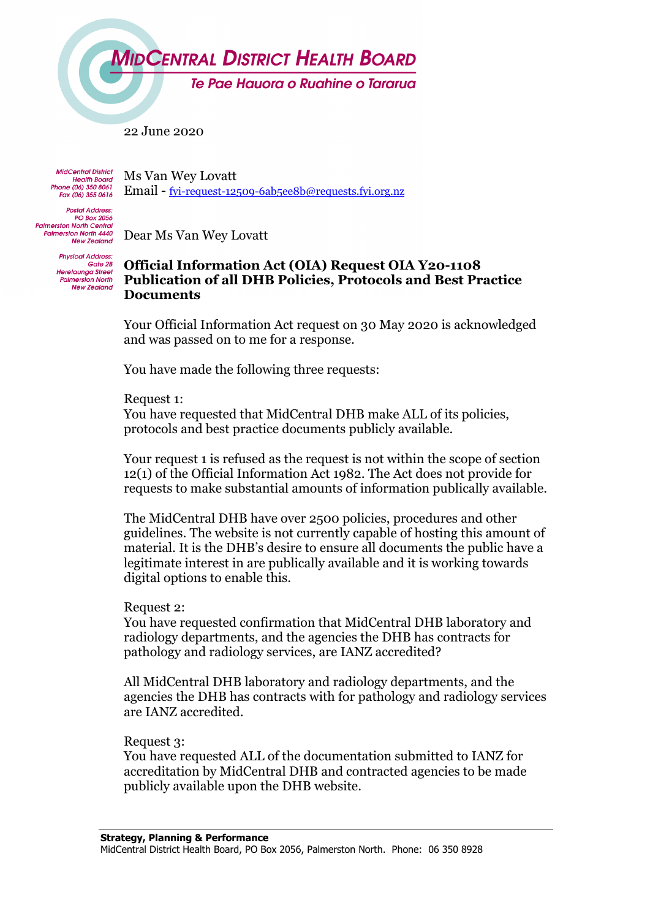

Te Pae Hauora o Ruahine o Tararua

22 June 2020

**MidCentral District** Health Board<br>Health Board<br>Phone (06) 350 8061 Fax (06) 355 0616

Ms Van Wey Lovatt Email - fyi-request-12509-6ab5ee8b@requests.fyi.org.nz

**Postal Address: PO Box 2056 Palmerston North Central Palmerston North 4440 New Zealand** 

Dear Ms Van Wey Lovatt

**Physical Address** Gate 2B Heretaunga Street<br>Palmerston North **New Zealand** 

## **Official Information Act (OIA) Request OIA Y20-1108 Publication of all DHB Policies, Protocols and Best Practice Documents**

Your Official Information Act request on 30 May 2020 is acknowledged and was passed on to me for a response.

You have made the following three requests:

Request 1:

You have requested that MidCentral DHB make ALL of its policies, protocols and best practice documents publicly available.

Your request 1 is refused as the request is not within the scope of section 12(1) of the Official Information Act 1982. The Act does not provide for requests to make substantial amounts of information publically available.

The MidCentral DHB have over 2500 policies, procedures and other guidelines. The website is not currently capable of hosting this amount of material. It is the DHB's desire to ensure all documents the public have a legitimate interest in are publically available and it is working towards digital options to enable this.

## Request 2:

You have requested confirmation that MidCentral DHB laboratory and radiology departments, and the agencies the DHB has contracts for pathology and radiology services, are IANZ accredited?

All MidCentral DHB laboratory and radiology departments, and the agencies the DHB has contracts with for pathology and radiology services are IANZ accredited.

## Request 3:

You have requested ALL of the documentation submitted to IANZ for accreditation by MidCentral DHB and contracted agencies to be made publicly available upon the DHB website.